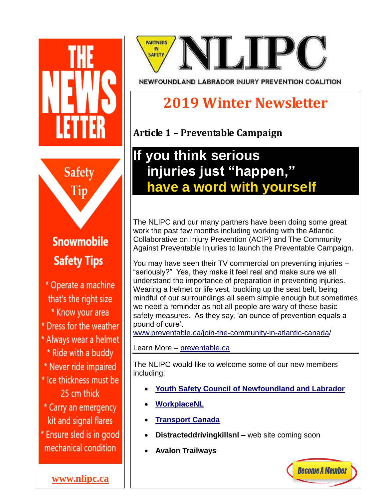

**[www.nlipc.ca](http://www.nlipc.ca/)**

# **PARTNERS SAFETY**

NEWFOUNDLAND LABRADOR INJURY PREVENTION COALITION

## **2019 Winter Newsletter**

**Article 1 – Preventable Campaign**

### **If you think serious injuries just "happen," have a word with yourself**

The NLIPC and our many partners have been doing some great work the past few months including working with the Atlantic Collaborative on Injury Prevention (ACIP) and The Community Against Preventable Injuries to launch the Preventable Campaign.

You may have seen their TV commercial on preventing injuries – "seriously?" Yes, they make it feel real and make sure we all understand the importance of preparation in preventing injuries. Wearing a helmet or life vest, buckling up the seat belt, being mindful of our surroundings all seem simple enough but sometimes we need a reminder as not all people are wary of these basic safety measures. As they say, 'an ounce of prevention equals a pound of cure'.

[www.preventable.ca/join-the-community-in-atlantic-canada/](http://www.preventable.ca/join-the-community-in-atlantic-canada)

Learn More – [preventable.ca](http://www.preventable.ca/)

The NLIPC would like to welcome some of our new members including:

**[Youth Safety Council of Newfoundland and Labrador](https://www.yscnl.com/)**

**Become A Member** 

- **[WorkplaceNL](https://workplacenl.ca/)**
- **[Transport Canada](https://www.tc.gc.ca/en/transport-canada.html)**
- **Distracteddrivingkillsnl –** web site coming soon
- **Avalon Trailways**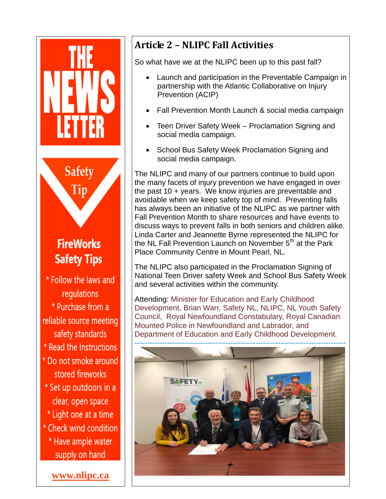

#### **Article 2 – NLIPC Fall Activities**

So what have we at the NLIPC been up to this past fall?

- Launch and participation in the Preventable Campaign in partnership with the Atlantic Collaborative on Injury Prevention (ACIP)
- Fall Prevention Month Launch & social media campaign
- Teen Driver Safety Week Proclamation Signing and social media campaign.
- School Bus Safety Week Proclamation Signing and social media campaign.

The NLIPC and many of our partners continue to build upon the many facets of injury prevention we have engaged in over the past 10 + years. We know injuries are preventable and avoidable when we keep safety top of mind. Preventing falls has always been an initiative of the NLIPC as we partner with Fall Prevention Month to share resources and have events to discuss ways to prevent falls in both seniors and children alike. Linda Carter and Jeannette Byrne represented the NLIPC for the NL Fall Prevention Launch on November 5<sup>th</sup> at the Park Place Community Centre in Mount Pearl, NL.

The NLIPC also participated in the Proclamation Signing of National Teen Driver safety Week and School Bus Safety Week and several activities within the community.

Attending: Minister for Education and Early Childhood Development, Brian Warr, [Safety NL,](https://www.facebook.com/safetyservicesnewfoundland/?__xts__%5B0%5D=68.ARAW7tGtQzATxT3wxzDa-GTJBmpIbJdbKg_2xWw_j6aqryrkZt0JH72ISWrU93NTFhr2Y1SQT37DbscMsm7tn6gufwfJPV67cU1HhvVZ4XL8Wb2z_4JgL9LuWaMCfv94gi5Dp-mx7R0MlZ12wamoD5tpAd6c8GA6msaYSoZyBWiSlb7w4fA26Tzmp0OandwtjF4HjEWhSRQ6efFNF31eY-CtS7a6FlG9JbQ7vSk9EF87ncwLNw2wcDwT2S9mof_W4CZ9qSoYOSl3b1-lDBOSoYs0MFLKdsSsXUXi0f_aEEiosurf5CW-4mbjIa1nrlMzK3tfo96ufFKqDNVSTXlDkBtVkhXGbcW9Dvibka5MJdRyEpZHzW5ZQa2FbQxehaW2uuz04389Im9h7ZIG1DsKGcKttm4ZqIlfg2hB80Gb5enM33thV5A2Pfm7_DlEy1eOz4ee1XESZlsUqbj9PgUUO_Hko5XWkHIPN3P_NXD7DYK9bkayefkin5ZU&__tn__=%2CdK%2AF-R&eid=ARCNPyFgB0aQSgQhQatmyprjfJbq9QD5M8QDmRg-wJO2PsqplQcCXCwA3ZRH0BDYpmuwmmJiG-b7Xo3E) [NLIPC,](https://www.facebook.com/nlipc/?__xts__%5B0%5D=68.ARAW7tGtQzATxT3wxzDa-GTJBmpIbJdbKg_2xWw_j6aqryrkZt0JH72ISWrU93NTFhr2Y1SQT37DbscMsm7tn6gufwfJPV67cU1HhvVZ4XL8Wb2z_4JgL9LuWaMCfv94gi5Dp-mx7R0MlZ12wamoD5tpAd6c8GA6msaYSoZyBWiSlb7w4fA26Tzmp0OandwtjF4HjEWhSRQ6efFNF31eY-CtS7a6FlG9JbQ7vSk9EF87ncwLNw2wcDwT2S9mof_W4CZ9qSoYOSl3b1-lDBOSoYs0MFLKdsSsXUXi0f_aEEiosurf5CW-4mbjIa1nrlMzK3tfo96ufFKqDNVSTXlDkBtVkhXGbcW9Dvibka5MJdRyEpZHzW5ZQa2FbQxehaW2uuz04389Im9h7ZIG1DsKGcKttm4ZqIlfg2hB80Gb5enM33thV5A2Pfm7_DlEy1eOz4ee1XESZlsUqbj9PgUUO_Hko5XWkHIPN3P_NXD7DYK9bkayefkin5ZU&__tn__=%2CdK%2AF-R&eid=ARC0AVBENCt6ipQmxG0_SSwt6uIW2d8pDY3wd5Y79Km829lveKwrfky1mcOCRqGc1uPKpKuqvUIGViKr) [NL Youth Safety](https://www.facebook.com/NL-Youth-Safety-Council-289847558636857/?__xts__%5B0%5D=68.ARAW7tGtQzATxT3wxzDa-GTJBmpIbJdbKg_2xWw_j6aqryrkZt0JH72ISWrU93NTFhr2Y1SQT37DbscMsm7tn6gufwfJPV67cU1HhvVZ4XL8Wb2z_4JgL9LuWaMCfv94gi5Dp-mx7R0MlZ12wamoD5tpAd6c8GA6msaYSoZyBWiSlb7w4fA26Tzmp0OandwtjF4HjEWhSRQ6efFNF31eY-CtS7a6FlG9JbQ7vSk9EF87ncwLNw2wcDwT2S9mof_W4CZ9qSoYOSl3b1-lDBOSoYs0MFLKdsSsXUXi0f_aEEiosurf5CW-4mbjIa1nrlMzK3tfo96ufFKqDNVSTXlDkBtVkhXGbcW9Dvibka5MJdRyEpZHzW5ZQa2FbQxehaW2uuz04389Im9h7ZIG1DsKGcKttm4ZqIlfg2hB80Gb5enM33thV5A2Pfm7_DlEy1eOz4ee1XESZlsUqbj9PgUUO_Hko5XWkHIPN3P_NXD7DYK9bkayefkin5ZU&__tn__=%2CdK%2AF-R&eid=ARAxYZgeFMG0ZqByRDlzadgxVCvT11oVXsP9Ld8Ep_2ftIPsk1EXCj92M6tfmFzAjBLuNNffCbUrXPDr)  [Council,](https://www.facebook.com/NL-Youth-Safety-Council-289847558636857/?__xts__%5B0%5D=68.ARAW7tGtQzATxT3wxzDa-GTJBmpIbJdbKg_2xWw_j6aqryrkZt0JH72ISWrU93NTFhr2Y1SQT37DbscMsm7tn6gufwfJPV67cU1HhvVZ4XL8Wb2z_4JgL9LuWaMCfv94gi5Dp-mx7R0MlZ12wamoD5tpAd6c8GA6msaYSoZyBWiSlb7w4fA26Tzmp0OandwtjF4HjEWhSRQ6efFNF31eY-CtS7a6FlG9JbQ7vSk9EF87ncwLNw2wcDwT2S9mof_W4CZ9qSoYOSl3b1-lDBOSoYs0MFLKdsSsXUXi0f_aEEiosurf5CW-4mbjIa1nrlMzK3tfo96ufFKqDNVSTXlDkBtVkhXGbcW9Dvibka5MJdRyEpZHzW5ZQa2FbQxehaW2uuz04389Im9h7ZIG1DsKGcKttm4ZqIlfg2hB80Gb5enM33thV5A2Pfm7_DlEy1eOz4ee1XESZlsUqbj9PgUUO_Hko5XWkHIPN3P_NXD7DYK9bkayefkin5ZU&__tn__=%2CdK%2AF-R&eid=ARAxYZgeFMG0ZqByRDlzadgxVCvT11oVXsP9Ld8Ep_2ftIPsk1EXCj92M6tfmFzAjBLuNNffCbUrXPDr) [Royal Newfoundland Constabulary,](https://www.facebook.com/RoyalNewfoundlandConstabulary/?__xts__%5B0%5D=68.ARAW7tGtQzATxT3wxzDa-GTJBmpIbJdbKg_2xWw_j6aqryrkZt0JH72ISWrU93NTFhr2Y1SQT37DbscMsm7tn6gufwfJPV67cU1HhvVZ4XL8Wb2z_4JgL9LuWaMCfv94gi5Dp-mx7R0MlZ12wamoD5tpAd6c8GA6msaYSoZyBWiSlb7w4fA26Tzmp0OandwtjF4HjEWhSRQ6efFNF31eY-CtS7a6FlG9JbQ7vSk9EF87ncwLNw2wcDwT2S9mof_W4CZ9qSoYOSl3b1-lDBOSoYs0MFLKdsSsXUXi0f_aEEiosurf5CW-4mbjIa1nrlMzK3tfo96ufFKqDNVSTXlDkBtVkhXGbcW9Dvibka5MJdRyEpZHzW5ZQa2FbQxehaW2uuz04389Im9h7ZIG1DsKGcKttm4ZqIlfg2hB80Gb5enM33thV5A2Pfm7_DlEy1eOz4ee1XESZlsUqbj9PgUUO_Hko5XWkHIPN3P_NXD7DYK9bkayefkin5ZU&__tn__=%2CdK%2AF-R&eid=ARANjcLZRRe3PcRujUHhtoh1BJy28RB-BRpVlq6-Jm1C1j67WEWTnwMTP0aEcFvZuSwh5fjkpSsNZAh4) [Royal Canadian](https://www.facebook.com/rcmpnl/?__xts__%5B0%5D=68.ARAW7tGtQzATxT3wxzDa-GTJBmpIbJdbKg_2xWw_j6aqryrkZt0JH72ISWrU93NTFhr2Y1SQT37DbscMsm7tn6gufwfJPV67cU1HhvVZ4XL8Wb2z_4JgL9LuWaMCfv94gi5Dp-mx7R0MlZ12wamoD5tpAd6c8GA6msaYSoZyBWiSlb7w4fA26Tzmp0OandwtjF4HjEWhSRQ6efFNF31eY-CtS7a6FlG9JbQ7vSk9EF87ncwLNw2wcDwT2S9mof_W4CZ9qSoYOSl3b1-lDBOSoYs0MFLKdsSsXUXi0f_aEEiosurf5CW-4mbjIa1nrlMzK3tfo96ufFKqDNVSTXlDkBtVkhXGbcW9Dvibka5MJdRyEpZHzW5ZQa2FbQxehaW2uuz04389Im9h7ZIG1DsKGcKttm4ZqIlfg2hB80Gb5enM33thV5A2Pfm7_DlEy1eOz4ee1XESZlsUqbj9PgUUO_Hko5XWkHIPN3P_NXD7DYK9bkayefkin5ZU&__tn__=%2CdK%2AF-R&eid=ARBKXLqgWr5b8h27neVwU8AdOIce0xrRJR4ztM2aQ667QtQ9Jkd8k5yc9mGfe5Unt1P1qRjOSVVvUHgK)  [Mounted Police in Newfoundland and Labrador,](https://www.facebook.com/rcmpnl/?__xts__%5B0%5D=68.ARAW7tGtQzATxT3wxzDa-GTJBmpIbJdbKg_2xWw_j6aqryrkZt0JH72ISWrU93NTFhr2Y1SQT37DbscMsm7tn6gufwfJPV67cU1HhvVZ4XL8Wb2z_4JgL9LuWaMCfv94gi5Dp-mx7R0MlZ12wamoD5tpAd6c8GA6msaYSoZyBWiSlb7w4fA26Tzmp0OandwtjF4HjEWhSRQ6efFNF31eY-CtS7a6FlG9JbQ7vSk9EF87ncwLNw2wcDwT2S9mof_W4CZ9qSoYOSl3b1-lDBOSoYs0MFLKdsSsXUXi0f_aEEiosurf5CW-4mbjIa1nrlMzK3tfo96ufFKqDNVSTXlDkBtVkhXGbcW9Dvibka5MJdRyEpZHzW5ZQa2FbQxehaW2uuz04389Im9h7ZIG1DsKGcKttm4ZqIlfg2hB80Gb5enM33thV5A2Pfm7_DlEy1eOz4ee1XESZlsUqbj9PgUUO_Hko5XWkHIPN3P_NXD7DYK9bkayefkin5ZU&__tn__=%2CdK%2AF-R&eid=ARBKXLqgWr5b8h27neVwU8AdOIce0xrRJR4ztM2aQ667QtQ9Jkd8k5yc9mGfe5Unt1P1qRjOSVVvUHgK) and Department of Education and Early Childhood Development.

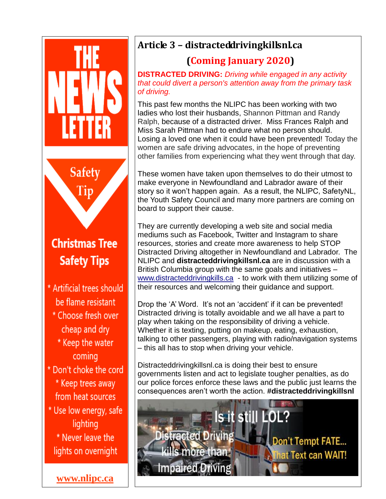

#### **Article 3 – distracteddrivingkillsnl.ca**

#### **(Coming January 2020)**

**DISTRACTED DRIVING:** *Driving while engaged in any activity that could divert a person's attention away from the primary task of driving.*

This past few months the NLIPC has been working with two ladies who lost their husbands, Shannon Pittman and Randy Ralph, because of a distracted driver. Miss Frances Ralph and Miss Sarah Pittman had to endure what no person should. Losing a loved one when it could have been prevented! Today the women are safe driving advocates, in the hope of preventing other families from experiencing what they went through that day.

These women have taken upon themselves to do their utmost to make everyone in Newfoundland and Labrador aware of their story so it won't happen again. As a result, the NLIPC, SafetyNL, the Youth Safety Council and many more partners are coming on board to support their cause.

They are currently developing a web site and social media mediums such as Facebook, Twitter and Instagram to share resources, stories and create more awareness to help STOP Distracted Driving altogether in Newfoundland and Labrador. The NLIPC and **distracteddrivingkillsnl.ca** are in discussion with a British Columbia group with the same goals and initiatives – [www.distracteddrivingkills.ca](http://www.distracteddrivingkills.ca/) - to work with them utilizing some of their resources and welcoming their guidance and support.

Drop the 'A' Word. It's not an 'accident' if it can be prevented! Distracted driving is totally avoidable and we all have a part to play when taking on the responsibility of driving a vehicle. Whether it is texting, putting on makeup, eating, exhaustion, talking to other passengers, playing with radio/navigation systems – this all has to stop when driving your vehicle.

Distracteddrivingkillsnl.ca is doing their best to ensure governments listen and act to legislate tougher penalties, as do our police forces enforce these laws and the public just learns the consequences aren't worth the action. **#distracteddrivingkillsnl**